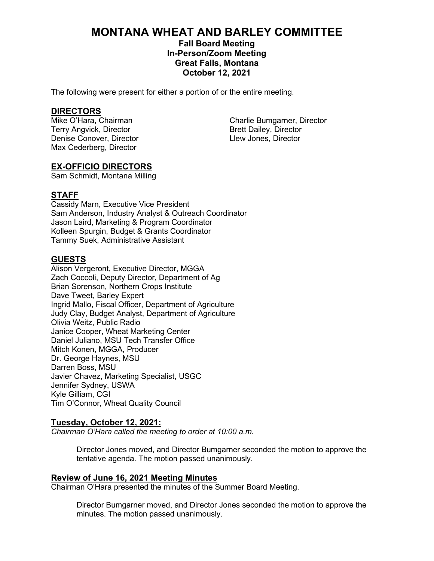# **MONTANA WHEAT AND BARLEY COMMITTEE**

# **Fall Board Meeting In-Person/Zoom Meeting Great Falls, Montana October 12, 2021**

The following were present for either a portion of or the entire meeting.

**DIRECTORS** Terry Angvick, Director and Terry Angles and Brett Dailey, Director Denise Conover, Director Denise Conover, Director Max Cederberg, Director

Charlie Bumgarner, Director

# **EX-OFFICIO DIRECTORS**

Sam Schmidt, Montana Milling

# **STAFF**

Cassidy Marn, Executive Vice President Sam Anderson, Industry Analyst & Outreach Coordinator Jason Laird, Marketing & Program Coordinator Kolleen Spurgin, Budget & Grants Coordinator Tammy Suek, Administrative Assistant

# **GUESTS**

Alison Vergeront, Executive Director, MGGA Zach Coccoli, Deputy Director, Department of Ag Brian Sorenson, Northern Crops Institute Dave Tweet, Barley Expert Ingrid Mallo, Fiscal Officer, Department of Agriculture Judy Clay, Budget Analyst, Department of Agriculture Olivia Weitz, Public Radio Janice Cooper, Wheat Marketing Center Daniel Juliano, MSU Tech Transfer Office Mitch Konen, MGGA, Producer Dr. George Haynes, MSU Darren Boss, MSU Javier Chavez, Marketing Specialist, USGC Jennifer Sydney, USWA Kyle Gilliam, CGI Tim O'Connor, Wheat Quality Council

# **Tuesday, October 12, 2021:**

*Chairman O'Hara called the meeting to order at 10:00 a.m.*

Director Jones moved, and Director Bumgarner seconded the motion to approve the tentative agenda. The motion passed unanimously.

# **Review of June 16, 2021 Meeting Minutes**

Chairman O'Hara presented the minutes of the Summer Board Meeting.

Director Bumgarner moved, and Director Jones seconded the motion to approve the minutes. The motion passed unanimously.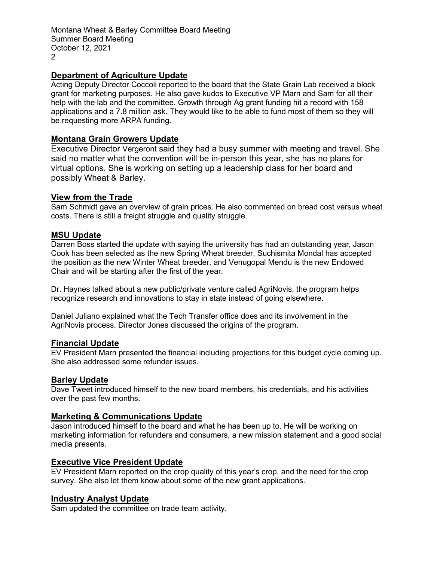Montana Wheat & Barley Committee Board Meeting Summer Board Meeting October 12, 2021  $\mathfrak{D}$ 

# **Department of Agriculture Update**

Acting Deputy Director Coccoli reported to the board that the State Grain Lab received a block grant for marketing purposes. He also gave kudos to Executive VP Marn and Sam for all their help with the lab and the committee. Growth through Ag grant funding hit a record with 158 applications and a 7.8 million ask. They would like to be able to fund most of them so they will be requesting more ARPA funding.

# **Montana Grain Growers Update**

Executive Director Vergeront said they had a busy summer with meeting and travel. She said no matter what the convention will be in-person this year, she has no plans for virtual options. She is working on setting up a leadership class for her board and possibly Wheat & Barley.

# **View from the Trade**

Sam Schmidt gave an overview of grain prices. He also commented on bread cost versus wheat costs. There is still a freight struggle and quality struggle.

### **MSU Update**

Darren Boss started the update with saying the university has had an outstanding year, Jason Cook has been selected as the new Spring Wheat breeder, Suchismita Mondal has accepted the position as the new Winter Wheat breeder, and Venugopal Mendu is the new Endowed Chair and will be starting after the first of the year.

Dr. Haynes talked about a new public/private venture called AgriNovis, the program helps recognize research and innovations to stay in state instead of going elsewhere.

Daniel Juliano explained what the Tech Transfer office does and its involvement in the AgriNovis process. Director Jones discussed the origins of the program.

#### **Financial Update**

EV President Marn presented the financial including projections for this budget cycle coming up. She also addressed some refunder issues.

#### **Barley Update**

Dave Tweet introduced himself to the new board members, his credentials, and his activities over the past few months.

# **Marketing & Communications Update**

Jason introduced himself to the board and what he has been up to. He will be working on marketing information for refunders and consumers, a new mission statement and a good social media presents.

#### **Executive Vice President Update**

EV President Marn reported on the crop quality of this year's crop, and the need for the crop survey. She also let them know about some of the new grant applications.

#### **Industry Analyst Update**

Sam updated the committee on trade team activity.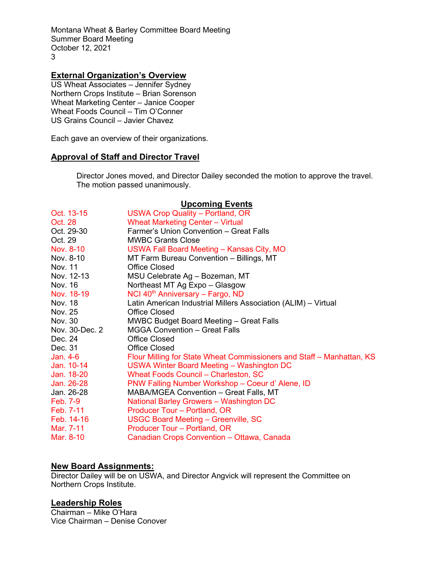Montana Wheat & Barley Committee Board Meeting Summer Board Meeting October 12, 2021 3

# **External Organization's Overview**

US Wheat Associates – Jennifer Sydney Northern Crops Institute – Brian Sorenson Wheat Marketing Center – Janice Cooper Wheat Foods Council – Tim O'Conner US Grains Council – Javier Chavez

Each gave an overview of their organizations.

# **Approval of Staff and Director Travel**

Director Jones moved, and Director Dailey seconded the motion to approve the travel. The motion passed unanimously.

# **Upcoming Events**

| Oct. 13-15      | USWA Crop Quality - Portland, OR                                      |
|-----------------|-----------------------------------------------------------------------|
| Oct. 28         | <b>Wheat Marketing Center - Virtual</b>                               |
| Oct. 29-30      | Farmer's Union Convention - Great Falls                               |
| Oct. 29         | <b>MWBC Grants Close</b>                                              |
| Nov. 8-10       | USWA Fall Board Meeting – Kansas City, MO                             |
| Nov. 8-10       | MT Farm Bureau Convention - Billings, MT                              |
| Nov. 11         | <b>Office Closed</b>                                                  |
| Nov. 12-13      | MSU Celebrate Ag - Bozeman, MT                                        |
| Nov. 16         | Northeast MT Ag Expo - Glasgow                                        |
| Nov. 18-19      | NCI 40 <sup>th</sup> Anniversary - Fargo, ND                          |
| Nov. 18         | Latin American Industrial Millers Association (ALIM) - Virtual        |
| Nov. 25         | <b>Office Closed</b>                                                  |
| Nov. 30         | MWBC Budget Board Meeting - Great Falls                               |
| Nov. 30-Dec. 2  | <b>MGGA Convention - Great Falls</b>                                  |
| Dec. 24         | <b>Office Closed</b>                                                  |
| Dec. 31         | <b>Office Closed</b>                                                  |
| Jan. 4-6        | Flour Milling for State Wheat Commissioners and Staff – Manhattan, KS |
| Jan. 10-14      | USWA Winter Board Meeting - Washington DC                             |
| Jan. 18-20      | Wheat Foods Council - Charleston, SC                                  |
| Jan. 26-28      | PNW Falling Number Workshop - Coeur d' Alene, ID                      |
| Jan. 26-28      | MABA/MGEA Convention - Great Falls, MT                                |
| <b>Feb. 7-9</b> | National Barley Growers - Washington DC                               |
| Feb. 7-11       | Producer Tour - Portland, OR                                          |
| Feb. 14-16      | USGC Board Meeting - Greenville, SC                                   |
| Mar. 7-11       | Producer Tour - Portland, OR                                          |
| Mar. 8-10       | Canadian Crops Convention - Ottawa, Canada                            |

#### **New Board Assignments:**

Director Dailey will be on USWA, and Director Angvick will represent the Committee on Northern Crops Institute.

# **Leadership Roles**

Chairman – Mike O'Hara Vice Chairman – Denise Conover